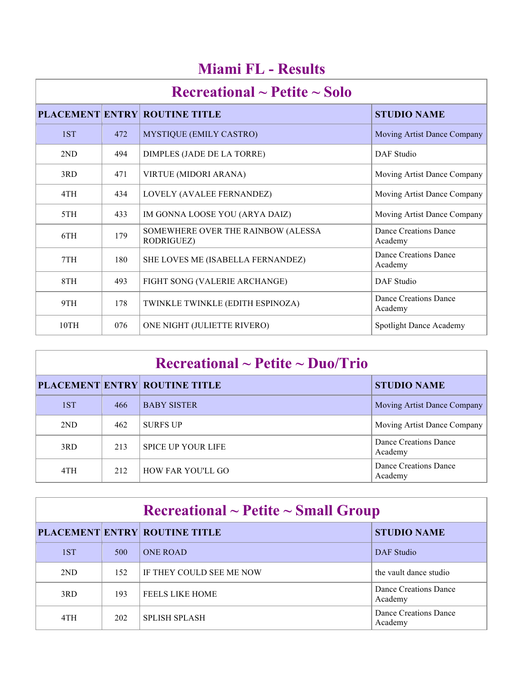| Recreational $\sim$ Petite $\sim$ Solo |     |                                                  |                                  |
|----------------------------------------|-----|--------------------------------------------------|----------------------------------|
|                                        |     | <b>PLACEMENT ENTRY ROUTINE TITLE</b>             | <b>STUDIO NAME</b>               |
| 1ST                                    | 472 | MYSTIQUE (EMILY CASTRO)                          | Moving Artist Dance Company      |
| 2ND                                    | 494 | DIMPLES (JADE DE LA TORRE)                       | DAF Studio                       |
| 3RD                                    | 471 | VIRTUE (MIDORI ARANA)                            | Moving Artist Dance Company      |
| 4TH                                    | 434 | LOVELY (AVALEE FERNANDEZ)                        | Moving Artist Dance Company      |
| 5TH                                    | 433 | IM GONNA LOOSE YOU (ARYA DAIZ)                   | Moving Artist Dance Company      |
| 6TH                                    | 179 | SOMEWHERE OVER THE RAINBOW (ALESSA<br>RODRIGUEZ) | Dance Creations Dance<br>Academy |
| 7TH                                    | 180 | SHE LOVES ME (ISABELLA FERNANDEZ)                | Dance Creations Dance<br>Academy |
| 8TH                                    | 493 | FIGHT SONG (VALERIE ARCHANGE)                    | DAF Studio                       |
| 9TH                                    | 178 | TWINKLE TWINKLE (EDITH ESPINOZA)                 | Dance Creations Dance<br>Academy |
| 10TH                                   | 076 | ONE NIGHT (JULIETTE RIVERO)                      | Spotlight Dance Academy          |

#### **Miami FL - Results**

| $\rm Recreational \sim Petitle \sim Duo/Trio$ |     |                                      |                                    |  |
|-----------------------------------------------|-----|--------------------------------------|------------------------------------|--|
|                                               |     | <b>PLACEMENT ENTRY ROUTINE TITLE</b> | <b>STUDIO NAME</b>                 |  |
| 1ST                                           | 466 | <b>BABY SISTER</b>                   | <b>Moving Artist Dance Company</b> |  |
| 2ND                                           | 462 | <b>SURFS UP</b>                      | Moving Artist Dance Company        |  |
| 3RD                                           | 213 | <b>SPICE UP YOUR LIFE</b>            | Dance Creations Dance<br>Academy   |  |
| 4TH                                           | 212 | HOW FAR YOU'LL GO                    | Dance Creations Dance<br>Academy   |  |

| $\rm Recreational \sim Petite \sim Small~Group$ |     |                                      |                                  |  |
|-------------------------------------------------|-----|--------------------------------------|----------------------------------|--|
|                                                 |     | <b>PLACEMENT ENTRY ROUTINE TITLE</b> | <b>STUDIO NAME</b>               |  |
| 1ST                                             | 500 | <b>ONE ROAD</b>                      | DAF Studio                       |  |
| 2ND                                             | 152 | IF THEY COULD SEE ME NOW             | the vault dance studio           |  |
| 3RD                                             | 193 | <b>FEELS LIKE HOME</b>               | Dance Creations Dance<br>Academy |  |
| 4TH                                             | 202 | <b>SPLISH SPLASH</b>                 | Dance Creations Dance<br>Academy |  |

i.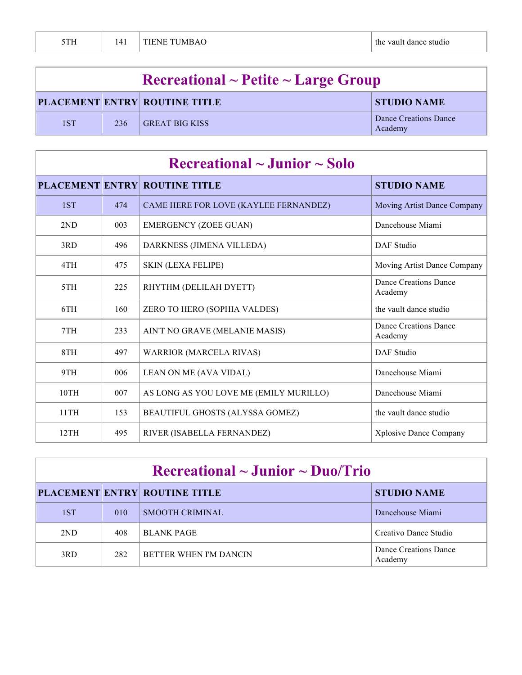| 5TH |  | <b>TIENE TUMBAO</b> | the vault dance studio |
|-----|--|---------------------|------------------------|
|-----|--|---------------------|------------------------|

| $\textbf{Recretional} \sim \textbf{Pettte} \sim \textbf{Large Group}$ |     |                                      |                                  |  |
|-----------------------------------------------------------------------|-----|--------------------------------------|----------------------------------|--|
|                                                                       |     | <b>PLACEMENT ENTRY ROUTINE TITLE</b> | <b>STUDIO NAME</b>               |  |
| 1ST                                                                   | 236 | GREAT BIG KISS                       | Dance Creations Dance<br>Academy |  |

| $\rm Recreational \sim Junior \sim Solo$ |     |                                        |                                  |
|------------------------------------------|-----|----------------------------------------|----------------------------------|
|                                          |     | <b>PLACEMENT ENTRY ROUTINE TITLE</b>   | <b>STUDIO NAME</b>               |
| 1ST                                      | 474 | CAME HERE FOR LOVE (KAYLEE FERNANDEZ)  | Moving Artist Dance Company      |
| 2ND                                      | 003 | <b>EMERGENCY (ZOEE GUAN)</b>           | Dancehouse Miami                 |
| 3RD                                      | 496 | DARKNESS (JIMENA VILLEDA)              | <b>DAF</b> Studio                |
| 4TH                                      | 475 | <b>SKIN (LEXA FELIPE)</b>              | Moving Artist Dance Company      |
| 5TH                                      | 225 | RHYTHM (DELILAH DYETT)                 | Dance Creations Dance<br>Academy |
| 6TH                                      | 160 | ZERO TO HERO (SOPHIA VALDES)           | the vault dance studio           |
| 7TH                                      | 233 | AIN'T NO GRAVE (MELANIE MASIS)         | Dance Creations Dance<br>Academy |
| 8TH                                      | 497 | <b>WARRIOR (MARCELA RIVAS)</b>         | DAF Studio                       |
| 9TH                                      | 006 | LEAN ON ME (AVA VIDAL)                 | Dancehouse Miami                 |
| 10TH                                     | 007 | AS LONG AS YOU LOVE ME (EMILY MURILLO) | Dancehouse Miami                 |
| 11TH                                     | 153 | BEAUTIFUL GHOSTS (ALYSSA GOMEZ)        | the vault dance studio           |
| 12TH                                     | 495 | RIVER (ISABELLA FERNANDEZ)             | <b>Xplosive Dance Company</b>    |

| $\rm Recreational \sim J$ unior ~ Duo/Trio |     |                               |                                  |  |
|--------------------------------------------|-----|-------------------------------|----------------------------------|--|
|                                            |     | PLACEMENT ENTRY ROUTINE TITLE | <b>STUDIO NAME</b>               |  |
| 1ST                                        | 010 | <b>SMOOTH CRIMINAL</b>        | Dancehouse Miami                 |  |
| 2ND                                        | 408 | <b>BLANK PAGE</b>             | Creativo Dance Studio            |  |
| 3RD                                        | 282 | BETTER WHEN I'M DANCIN        | Dance Creations Dance<br>Academy |  |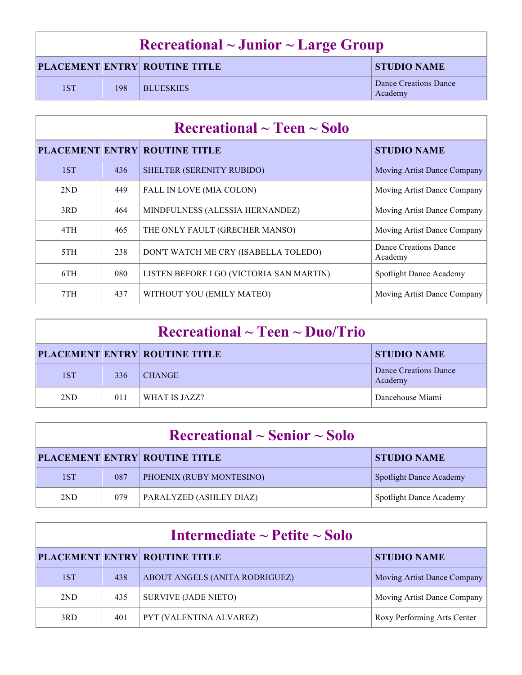| Recreational $\sim$ Junior $\sim$ Large Group |     |                                      |                                  |
|-----------------------------------------------|-----|--------------------------------------|----------------------------------|
|                                               |     | <b>PLACEMENT ENTRY ROUTINE TITLE</b> | <b>STUDIO NAME</b>               |
| 1ST                                           | 198 | <b>BLUESKIES</b>                     | Dance Creations Dance<br>Academy |

| $\rm Recreational \sim Teen \sim Solo$ |     |                                          |                                  |  |
|----------------------------------------|-----|------------------------------------------|----------------------------------|--|
|                                        |     | <b>PLACEMENT ENTRY ROUTINE TITLE</b>     | <b>STUDIO NAME</b>               |  |
| 1ST                                    | 436 | SHELTER (SERENITY RUBIDO)                | Moving Artist Dance Company      |  |
| 2ND                                    | 449 | FALL IN LOVE (MIA COLON)                 | Moving Artist Dance Company      |  |
| 3RD                                    | 464 | MINDFULNESS (ALESSIA HERNANDEZ)          | Moving Artist Dance Company      |  |
| 4TH                                    | 465 | THE ONLY FAULT (GRECHER MANSO)           | Moving Artist Dance Company      |  |
| 5TH                                    | 238 | DON'T WATCH ME CRY (ISABELLA TOLEDO)     | Dance Creations Dance<br>Academy |  |
| 6TH                                    | 080 | LISTEN BEFORE I GO (VICTORIA SAN MARTIN) | Spotlight Dance Academy          |  |
| 7TH                                    | 437 | WITHOUT YOU (EMILY MATEO)                | Moving Artist Dance Company      |  |

| $\rm Recreational \sim Teen \sim Duo/Trio$ |     |                                      |                                  |  |
|--------------------------------------------|-----|--------------------------------------|----------------------------------|--|
|                                            |     | <b>PLACEMENT ENTRY ROUTINE TITLE</b> | <b>STUDIO NAME</b>               |  |
| 1ST                                        | 336 | <b>CHANGE</b>                        | Dance Creations Dance<br>Academy |  |
| 2ND                                        | 011 | WHAT IS JAZZ?                        | Dancehouse Miami                 |  |

| $\rm Recreational \sim Senior \sim Solo$ |     |                                      |                                |  |
|------------------------------------------|-----|--------------------------------------|--------------------------------|--|
|                                          |     | <b>PLACEMENT ENTRY ROUTINE TITLE</b> | <b>STUDIO NAME</b>             |  |
| 1ST                                      | 087 | PHOENIX (RUBY MONTESINO)             | <b>Spotlight Dance Academy</b> |  |
| 2ND                                      | 079 | PARALYZED (ASHLEY DIAZ)              | <b>Spotlight Dance Academy</b> |  |

| Intermediate $\sim$ Petite $\sim$ Solo |     |                                      |                             |  |
|----------------------------------------|-----|--------------------------------------|-----------------------------|--|
|                                        |     | <b>PLACEMENT ENTRY ROUTINE TITLE</b> | <b>STUDIO NAME</b>          |  |
| 1ST                                    | 438 | ABOUT ANGELS (ANITA RODRIGUEZ)       | Moving Artist Dance Company |  |
| 2ND                                    | 435 | <b>SURVIVE (JADE NIETO)</b>          | Moving Artist Dance Company |  |
| 3RD                                    | 401 | PYT (VALENTINA ALVAREZ)              | Roxy Performing Arts Center |  |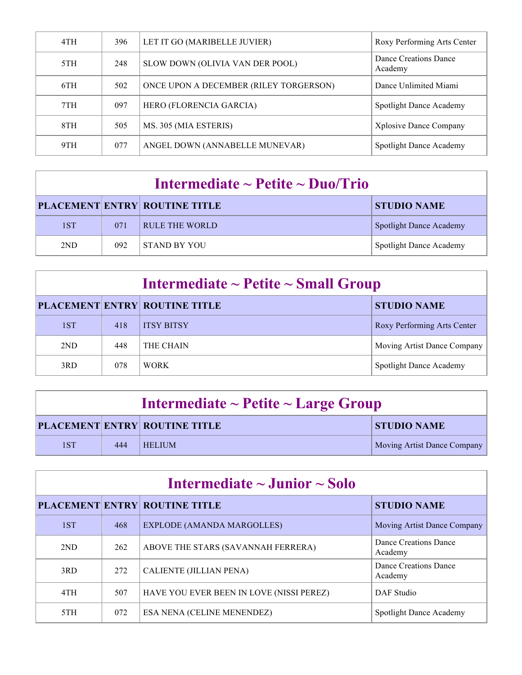| 4TH | 396 | LET IT GO (MARIBELLE JUVIER)           | Roxy Performing Arts Center      |
|-----|-----|----------------------------------------|----------------------------------|
| 5TH | 248 | SLOW DOWN (OLIVIA VAN DER POOL)        | Dance Creations Dance<br>Academy |
| 6TH | 502 | ONCE UPON A DECEMBER (RILEY TORGERSON) | Dance Unlimited Miami            |
| 7TH | 097 | HERO (FLORENCIA GARCIA)                | Spotlight Dance Academy          |
| 8TH | 505 | MS. 305 (MIA ESTERIS)                  | <b>Xplosive Dance Company</b>    |
| 9TH | 077 | ANGEL DOWN (ANNABELLE MUNEVAR)         | Spotlight Dance Academy          |

| Intermediate $\sim$ Petite $\sim$ Duo/Trio |     |                                      |                                |  |  |
|--------------------------------------------|-----|--------------------------------------|--------------------------------|--|--|
|                                            |     | <b>PLACEMENT ENTRY ROUTINE TITLE</b> | <b>STUDIO NAME</b>             |  |  |
| 1ST                                        | 071 | RULE THE WORLD                       | <b>Spotlight Dance Academy</b> |  |  |
| 2ND                                        | 092 | <b>STAND BY YOU</b>                  | <b>Spotlight Dance Academy</b> |  |  |

| Intermediate $\sim$ Petite $\sim$ Small Group |     |                                      |                             |  |
|-----------------------------------------------|-----|--------------------------------------|-----------------------------|--|
|                                               |     | <b>PLACEMENT ENTRY ROUTINE TITLE</b> | <b>STUDIO NAME</b>          |  |
| 1ST                                           | 418 | <b>ITSY BITSY</b>                    | Roxy Performing Arts Center |  |
| 2ND                                           | 448 | THE CHAIN                            | Moving Artist Dance Company |  |
| 3RD                                           | 078 | <b>WORK</b>                          | Spotlight Dance Academy     |  |

| Intermediate $\sim$ Petite $\sim$ Large Group |     |                                      |                             |  |
|-----------------------------------------------|-----|--------------------------------------|-----------------------------|--|
|                                               |     | <b>PLACEMENT ENTRY ROUTINE TITLE</b> | <b>STUDIO NAME</b>          |  |
| 1ST                                           | 444 | <b>HELIUM</b>                        | Moving Artist Dance Company |  |

| Intermediate $\sim$ Junior $\sim$ Solo |     |                                          |                                  |  |
|----------------------------------------|-----|------------------------------------------|----------------------------------|--|
|                                        |     | PLACEMENT ENTRY ROUTINE TITLE            | <b>STUDIO NAME</b>               |  |
| 1ST                                    | 468 | <b>EXPLODE (AMANDA MARGOLLES)</b>        | Moving Artist Dance Company      |  |
| 2ND                                    | 262 | ABOVE THE STARS (SAVANNAH FERRERA)       | Dance Creations Dance<br>Academy |  |
| 3RD                                    | 272 | CALIENTE (JILLIAN PENA)                  | Dance Creations Dance<br>Academy |  |
| 4TH                                    | 507 | HAVE YOU EVER BEEN IN LOVE (NISSI PEREZ) | DAF Studio                       |  |
| 5TH                                    | 072 | ESA NENA (CELINE MENENDEZ)               | Spotlight Dance Academy          |  |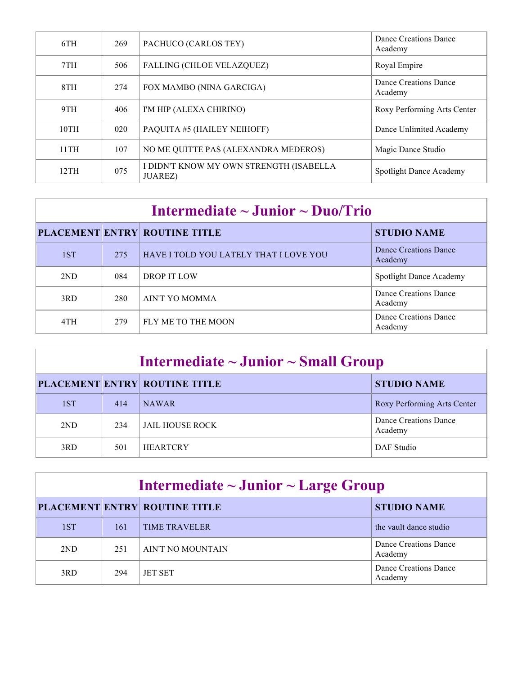| 6TH  | 269 | PACHUCO (CARLOS TEY)                                       | Dance Creations Dance<br>Academy |
|------|-----|------------------------------------------------------------|----------------------------------|
| 7TH  | 506 | <b>FALLING (CHLOE VELAZQUEZ)</b>                           | Royal Empire                     |
| 8TH  | 274 | FOX MAMBO (NINA GARCIGA)                                   | Dance Creations Dance<br>Academy |
| 9TH  | 406 | I'M HIP (ALEXA CHIRINO)                                    | Roxy Performing Arts Center      |
| 10TH | 020 | PAQUITA #5 (HAILEY NEIHOFF)                                | Dance Unlimited Academy          |
| 11TH | 107 | NO ME QUITTE PAS (ALEXANDRA MEDEROS)                       | Magic Dance Studio               |
| 12TH | 075 | I DIDN'T KNOW MY OWN STRENGTH (ISABELLA<br><b>JUAREZ</b> ) | Spotlight Dance Academy          |

| Intermediate $\sim$ Junior $\sim$ Duo/Trio |     |                                        |                                  |  |  |
|--------------------------------------------|-----|----------------------------------------|----------------------------------|--|--|
|                                            |     | <b>PLACEMENT ENTRY ROUTINE TITLE</b>   | <b>STUDIO NAME</b>               |  |  |
| 1ST                                        | 275 | HAVE I TOLD YOU LATELY THAT I LOVE YOU | Dance Creations Dance<br>Academy |  |  |
| 2ND                                        | 084 | DROP IT LOW                            | Spotlight Dance Academy          |  |  |
| 3RD                                        | 280 | AIN'T YO MOMMA                         | Dance Creations Dance<br>Academy |  |  |
| 4TH                                        | 279 | FLY ME TO THE MOON                     | Dance Creations Dance<br>Academy |  |  |

| Intermediate $\sim$ Junior $\sim$ Small Group |     |                                      |                                  |  |  |
|-----------------------------------------------|-----|--------------------------------------|----------------------------------|--|--|
|                                               |     | <b>PLACEMENT ENTRY ROUTINE TITLE</b> | <b>STUDIO NAME</b>               |  |  |
| 1ST                                           | 414 | <b>NAWAR</b>                         | Roxy Performing Arts Center      |  |  |
| 2ND                                           | 234 | JAIL HOUSE ROCK                      | Dance Creations Dance<br>Academy |  |  |
| 3RD                                           | 501 | <b>HEARTCRY</b>                      | DAF Studio                       |  |  |

| Intermediate $\sim$ Junior $\sim$ Large Group |     |                                      |                                  |  |  |
|-----------------------------------------------|-----|--------------------------------------|----------------------------------|--|--|
|                                               |     | <b>PLACEMENT ENTRY ROUTINE TITLE</b> | <b>STUDIO NAME</b>               |  |  |
| 1ST                                           | 161 | <b>TIME TRAVELER</b>                 | the vault dance studio           |  |  |
| 2ND                                           | 251 | AIN'T NO MOUNTAIN                    | Dance Creations Dance<br>Academy |  |  |
| 3RD                                           | 294 | <b>JET SET</b>                       | Dance Creations Dance<br>Academy |  |  |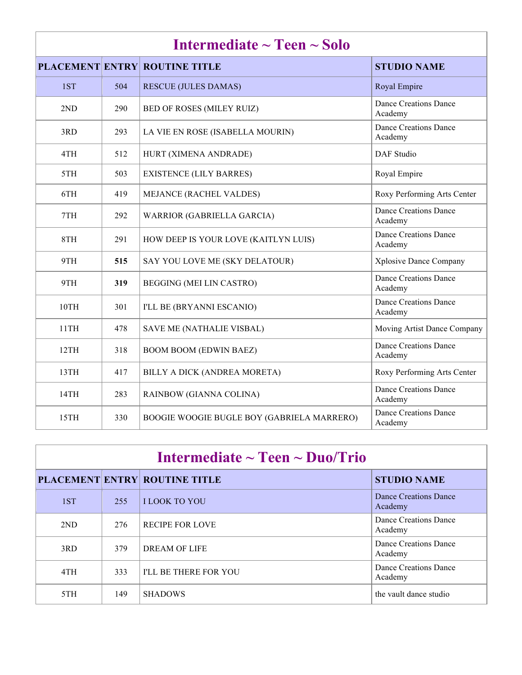| Intermediate $\sim$ Teen $\sim$ Solo |     |                                            |                                         |  |
|--------------------------------------|-----|--------------------------------------------|-----------------------------------------|--|
|                                      |     | <b>PLACEMENT ENTRY ROUTINE TITLE</b>       | <b>STUDIO NAME</b>                      |  |
| 1ST                                  | 504 | <b>RESCUE (JULES DAMAS)</b>                | Royal Empire                            |  |
| 2ND                                  | 290 | BED OF ROSES (MILEY RUIZ)                  | <b>Dance Creations Dance</b><br>Academy |  |
| 3RD                                  | 293 | LA VIE EN ROSE (ISABELLA MOURIN)           | <b>Dance Creations Dance</b><br>Academy |  |
| 4TH                                  | 512 | HURT (XIMENA ANDRADE)                      | <b>DAF</b> Studio                       |  |
| 5TH                                  | 503 | <b>EXISTENCE (LILY BARRES)</b>             | Royal Empire                            |  |
| 6TH                                  | 419 | MEJANCE (RACHEL VALDES)                    | Roxy Performing Arts Center             |  |
| 7TH                                  | 292 | WARRIOR (GABRIELLA GARCIA)                 | <b>Dance Creations Dance</b><br>Academy |  |
| 8TH                                  | 291 | HOW DEEP IS YOUR LOVE (KAITLYN LUIS)       | <b>Dance Creations Dance</b><br>Academy |  |
| 9TH                                  | 515 | SAY YOU LOVE ME (SKY DELATOUR)             | Xplosive Dance Company                  |  |
| 9TH                                  | 319 | BEGGING (MEI LIN CASTRO)                   | <b>Dance Creations Dance</b><br>Academy |  |
| 10TH                                 | 301 | I'LL BE (BRYANNI ESCANIO)                  | <b>Dance Creations Dance</b><br>Academy |  |
| 11TH                                 | 478 | SAVE ME (NATHALIE VISBAL)                  | Moving Artist Dance Company             |  |
| 12TH                                 | 318 | <b>BOOM BOOM (EDWIN BAEZ)</b>              | <b>Dance Creations Dance</b><br>Academy |  |
| 13TH                                 | 417 | BILLY A DICK (ANDREA MORETA)               | Roxy Performing Arts Center             |  |
| 14TH                                 | 283 | RAINBOW (GIANNA COLINA)                    | <b>Dance Creations Dance</b><br>Academy |  |
| 15TH                                 | 330 | BOOGIE WOOGIE BUGLE BOY (GABRIELA MARRERO) | <b>Dance Creations Dance</b><br>Academy |  |

| Intermediate $\sim$ Teen $\sim$ Duo/Trio |     |                                      |                                  |  |
|------------------------------------------|-----|--------------------------------------|----------------------------------|--|
|                                          |     | <b>PLACEMENT ENTRY ROUTINE TITLE</b> | <b>STUDIO NAME</b>               |  |
| 1ST                                      | 255 | <b>ILOOK TO YOU</b>                  | Dance Creations Dance<br>Academy |  |
| 2ND                                      | 276 | <b>RECIPE FOR LOVE</b>               | Dance Creations Dance<br>Academy |  |
| 3RD                                      | 379 | DREAM OF LIFE                        | Dance Creations Dance<br>Academy |  |
| 4TH                                      | 333 | <b>I'LL BE THERE FOR YOU</b>         | Dance Creations Dance<br>Academy |  |
| 5TH                                      | 149 | <b>SHADOWS</b>                       | the vault dance studio           |  |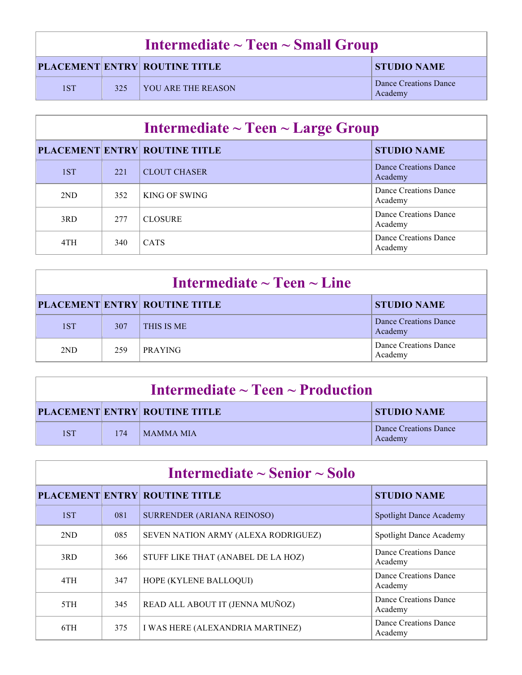| Intermediate $\sim$ Teen $\sim$ Small Group |     |                                      |                                  |  |
|---------------------------------------------|-----|--------------------------------------|----------------------------------|--|
|                                             |     | <b>PLACEMENT ENTRY ROUTINE TITLE</b> | <b>STUDIO NAME</b>               |  |
| 1ST                                         | 325 | VOU ARE THE REASON                   | Dance Creations Dance<br>Academy |  |

| Intermediate $\sim$ Teen $\sim$ Large Group |     |                                      |                                  |  |
|---------------------------------------------|-----|--------------------------------------|----------------------------------|--|
|                                             |     | <b>PLACEMENT ENTRY ROUTINE TITLE</b> | <b>STUDIO NAME</b>               |  |
| 1ST                                         | 221 | <b>CLOUT CHASER</b>                  | Dance Creations Dance<br>Academy |  |
| 2ND                                         | 352 | KING OF SWING                        | Dance Creations Dance<br>Academy |  |
| 3RD                                         | 277 | <b>CLOSURE</b>                       | Dance Creations Dance<br>Academy |  |
| 4TH                                         | 340 | <b>CATS</b>                          | Dance Creations Dance<br>Academy |  |

| Intermediate $\sim$ Teen $\sim$ Line |     |                                      |                                  |  |
|--------------------------------------|-----|--------------------------------------|----------------------------------|--|
|                                      |     | <b>PLACEMENT ENTRY ROUTINE TITLE</b> | <b>STUDIO NAME</b>               |  |
| 1ST                                  | 307 | <b>THIS IS ME</b>                    | Dance Creations Dance<br>Academy |  |
| 2ND                                  | 259 | <b>PRAYING</b>                       | Dance Creations Dance<br>Academy |  |

| Intermediate $\sim$ Teen $\sim$ Production |     |                                      |                                  |
|--------------------------------------------|-----|--------------------------------------|----------------------------------|
|                                            |     | <b>PLACEMENT ENTRY ROUTINE TITLE</b> | <b>STUDIO NAME</b>               |
| 1ST                                        | 174 | MAMMA MIA                            | Dance Creations Dance<br>Academy |

| Intermediate $\sim$ Senior $\sim$ Solo |     |                                      |                                  |
|----------------------------------------|-----|--------------------------------------|----------------------------------|
|                                        |     | <b>PLACEMENT ENTRY ROUTINE TITLE</b> | <b>STUDIO NAME</b>               |
| 1ST                                    | 081 | <b>SURRENDER (ARIANA REINOSO)</b>    | <b>Spotlight Dance Academy</b>   |
| 2ND                                    | 085 | SEVEN NATION ARMY (ALEXA RODRIGUEZ)  | Spotlight Dance Academy          |
| 3RD                                    | 366 | STUFF LIKE THAT (ANABEL DE LA HOZ)   | Dance Creations Dance<br>Academy |
| 4TH                                    | 347 | HOPE (KYLENE BALLOQUI)               | Dance Creations Dance<br>Academy |
| 5TH                                    | 345 | READ ALL ABOUT IT (JENNA MUÑOZ)      | Dance Creations Dance<br>Academy |
| 6TH                                    | 375 | I WAS HERE (ALEXANDRIA MARTINEZ)     | Dance Creations Dance<br>Academy |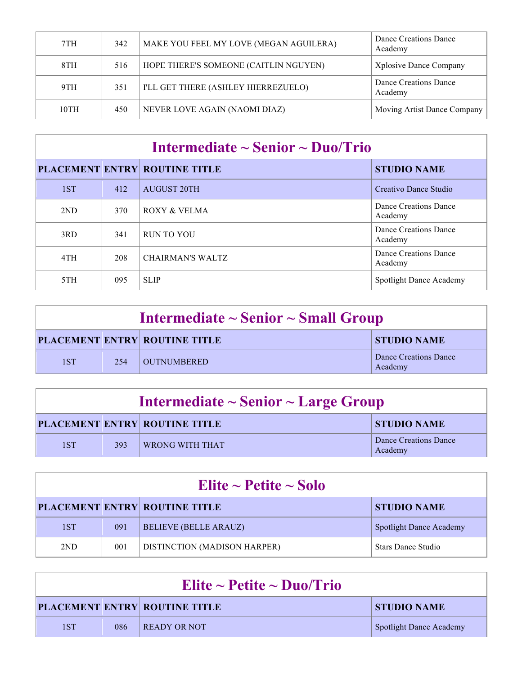| 7TH  | 342 | MAKE YOU FEEL MY LOVE (MEGAN AGUILERA) | Dance Creations Dance<br>Academy |
|------|-----|----------------------------------------|----------------------------------|
| 8TH  | 516 | HOPE THERE'S SOMEONE (CAITLIN NGUYEN)  | <b>Xplosive Dance Company</b>    |
| 9TH  | 351 | I'LL GET THERE (ASHLEY HIERREZUELO)    | Dance Creations Dance<br>Academy |
| 10TH | 450 | NEVER LOVE AGAIN (NAOMI DIAZ)          | Moving Artist Dance Company      |

# **Intermediate ~ Senior ~ Duo/Trio**

|     |     | <b>PLACEMENT ENTRY ROUTINE TITLE</b> | <b>STUDIO NAME</b>               |
|-----|-----|--------------------------------------|----------------------------------|
| 1ST | 412 | <b>AUGUST 20TH</b>                   | Creativo Dance Studio            |
| 2ND | 370 | ROXY & VELMA                         | Dance Creations Dance<br>Academy |
| 3RD | 341 | <b>RUN TO YOU</b>                    | Dance Creations Dance<br>Academy |
| 4TH | 208 | <b>CHAIRMAN'S WALTZ</b>              | Dance Creations Dance<br>Academy |
| 5TH | 095 | <b>SLIP</b>                          | Spotlight Dance Academy          |

| Intermediate $\sim$ Senior $\sim$ Small Group |      |                                      |                                  |
|-----------------------------------------------|------|--------------------------------------|----------------------------------|
|                                               |      | <b>PLACEMENT ENTRY ROUTINE TITLE</b> | <b>STUDIO NAME</b>               |
| 1ST                                           | 2.54 | OUTNUMBERED_                         | Dance Creations Dance<br>Academy |

| Intermediate $\sim$ Senior $\sim$ Large Group |     |                                      |                                  |
|-----------------------------------------------|-----|--------------------------------------|----------------------------------|
|                                               |     | <b>PLACEMENT ENTRY ROUTINE TITLE</b> | <b>STUDIO NAME</b>               |
| 1ST                                           | 393 | <b>WRONG WITH THAT</b>               | Dance Creations Dance<br>Academy |

| Elite ~ Petite ~ Solo |     |                                      |                                |  |
|-----------------------|-----|--------------------------------------|--------------------------------|--|
|                       |     | <b>PLACEMENT ENTRY ROUTINE TITLE</b> | <b>STUDIO NAME</b>             |  |
| 1ST                   | 091 | <b>BELIEVE (BELLE ARAUZ)</b>         | <b>Spotlight Dance Academy</b> |  |
| 2ND                   | 001 | DISTINCTION (MADISON HARPER)         | Stars Dance Studio             |  |

| Elite ~ Petite ~ Duo/Trio |     |                                      |                                |
|---------------------------|-----|--------------------------------------|--------------------------------|
|                           |     | <b>PLACEMENT ENTRY ROUTINE TITLE</b> | <b>STUDIO NAME</b>             |
| 1ST                       | 086 | READY OR NOT                         | <b>Spotlight Dance Academy</b> |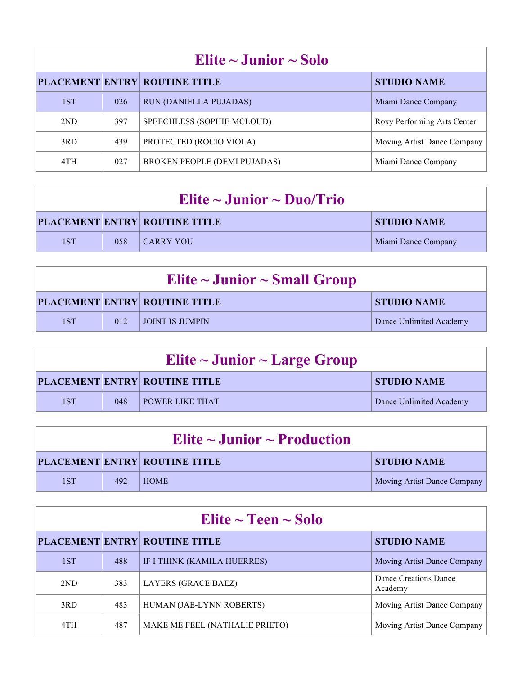| Elite $\sim$ Junior $\sim$ Solo |     |                                      |                             |  |
|---------------------------------|-----|--------------------------------------|-----------------------------|--|
|                                 |     | <b>PLACEMENT ENTRY ROUTINE TITLE</b> | <b>STUDIO NAME</b>          |  |
| 1ST                             | 026 | <b>RUN (DANIELLA PUJADAS)</b>        | Miami Dance Company         |  |
| 2ND                             | 397 | SPEECHLESS (SOPHIE MCLOUD)           | Roxy Performing Arts Center |  |
| 3RD                             | 439 | PROTECTED (ROCIO VIOLA)              | Moving Artist Dance Company |  |
| 4TH                             | 027 | <b>BROKEN PEOPLE (DEMI PUJADAS)</b>  | Miami Dance Company         |  |

| Elite $\sim$ Junior $\sim$ Duo/Trio |     |                                      |                     |
|-------------------------------------|-----|--------------------------------------|---------------------|
|                                     |     | <b>PLACEMENT ENTRY ROUTINE TITLE</b> | <b>STUDIO NAME</b>  |
| 1ST                                 | 058 | CARRY YOU                            | Miami Dance Company |

| Elite $\sim$ Junior $\sim$ Small Group |     |                                      |                         |
|----------------------------------------|-----|--------------------------------------|-------------------------|
|                                        |     | <b>PLACEMENT ENTRY ROUTINE TITLE</b> | <b>STUDIO NAME</b>      |
| 1ST                                    | 012 | <b>LIOINT IS JUMPIN</b>              | Dance Unlimited Academy |

| Elite $\sim$ Junior $\sim$ Large Group |     |                                      |                         |
|----------------------------------------|-----|--------------------------------------|-------------------------|
|                                        |     | <b>PLACEMENT ENTRY ROUTINE TITLE</b> | <b>STUDIO NAME</b>      |
| 1ST                                    | 048 | <b>FOWER LIKE THAT</b>               | Dance Unlimited Academy |

| Elite $\sim$ Junior $\sim$ Production |     |                                      |                             |
|---------------------------------------|-----|--------------------------------------|-----------------------------|
|                                       |     | <b>PLACEMENT ENTRY ROUTINE TITLE</b> | <b>STUDIO NAME</b>          |
| 1ST                                   | 492 | HOME                                 | Moving Artist Dance Company |

| Elite $\sim$ Teen $\sim$ Solo |     |                                      |                                  |  |
|-------------------------------|-----|--------------------------------------|----------------------------------|--|
|                               |     | <b>PLACEMENT ENTRY ROUTINE TITLE</b> | <b>STUDIO NAME</b>               |  |
| 1ST                           | 488 | IF I THINK (KAMILA HUERRES)          | Moving Artist Dance Company      |  |
| 2ND                           | 383 | <b>LAYERS (GRACE BAEZ)</b>           | Dance Creations Dance<br>Academy |  |
| 3RD                           | 483 | HUMAN (JAE-LYNN ROBERTS)             | Moving Artist Dance Company      |  |
| 4TH                           | 487 | MAKE ME FEEL (NATHALIE PRIETO)       | Moving Artist Dance Company      |  |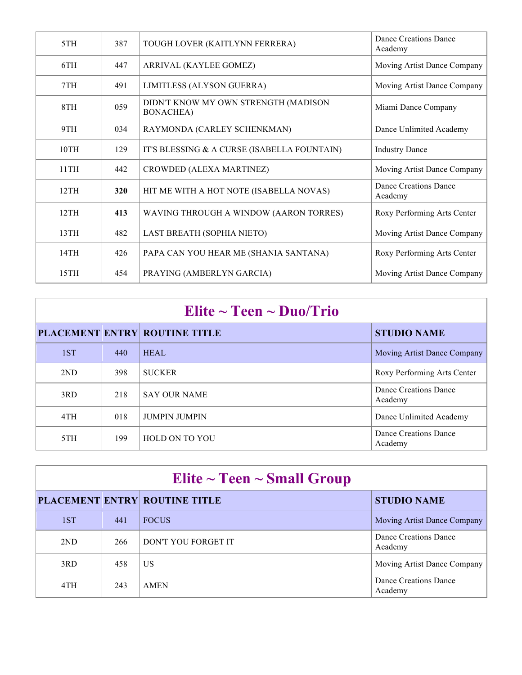| 5TH  | 387 | TOUGH LOVER (KAITLYNN FERRERA)                            | Dance Creations Dance<br>Academy |
|------|-----|-----------------------------------------------------------|----------------------------------|
| 6TH  | 447 | ARRIVAL (KAYLEE GOMEZ)                                    | Moving Artist Dance Company      |
| 7TH  | 491 | LIMITLESS (ALYSON GUERRA)                                 | Moving Artist Dance Company      |
| 8TH  | 059 | DIDN'T KNOW MY OWN STRENGTH (MADISON<br><b>BONACHEA</b> ) | Miami Dance Company              |
| 9TH  | 034 | RAYMONDA (CARLEY SCHENKMAN)                               | Dance Unlimited Academy          |
| 10TH | 129 | IT'S BLESSING & A CURSE (ISABELLA FOUNTAIN)               | <b>Industry Dance</b>            |
| 11TH | 442 | CROWDED (ALEXA MARTINEZ)                                  | Moving Artist Dance Company      |
| 12TH | 320 | HIT ME WITH A HOT NOTE (ISABELLA NOVAS)                   | Dance Creations Dance<br>Academy |
| 12TH | 413 | WAVING THROUGH A WINDOW (AARON TORRES)                    | Roxy Performing Arts Center      |
| 13TH | 482 | LAST BREATH (SOPHIA NIETO)                                | Moving Artist Dance Company      |
| 14TH | 426 | PAPA CAN YOU HEAR ME (SHANIA SANTANA)                     | Roxy Performing Arts Center      |
| 15TH | 454 | PRAYING (AMBERLYN GARCIA)                                 | Moving Artist Dance Company      |

### **Elite ~ Teen ~ Duo/Trio**

|     |     | <b>PLACEMENT ENTRY ROUTINE TITLE</b> | <b>STUDIO NAME</b>               |
|-----|-----|--------------------------------------|----------------------------------|
| 1ST | 440 | <b>HEAL</b>                          | Moving Artist Dance Company      |
| 2ND | 398 | <b>SUCKER</b>                        | Roxy Performing Arts Center      |
| 3RD | 218 | <b>SAY OUR NAME</b>                  | Dance Creations Dance<br>Academy |
| 4TH | 018 | <b>JUMPIN JUMPIN</b>                 | Dance Unlimited Academy          |
| 5TH | 199 | <b>HOLD ON TO YOU</b>                | Dance Creations Dance<br>Academy |

| Elite $\sim$ Teen $\sim$ Small Group |     |                                      |                                  |  |
|--------------------------------------|-----|--------------------------------------|----------------------------------|--|
|                                      |     | <b>PLACEMENT ENTRY ROUTINE TITLE</b> | <b>STUDIO NAME</b>               |  |
| 1ST                                  | 441 | <b>FOCUS</b>                         | Moving Artist Dance Company      |  |
| 2ND                                  | 266 | DON'T YOU FORGET IT                  | Dance Creations Dance<br>Academy |  |
| 3RD                                  | 458 | US                                   | Moving Artist Dance Company      |  |
| 4TH                                  | 243 | <b>AMEN</b>                          | Dance Creations Dance<br>Academy |  |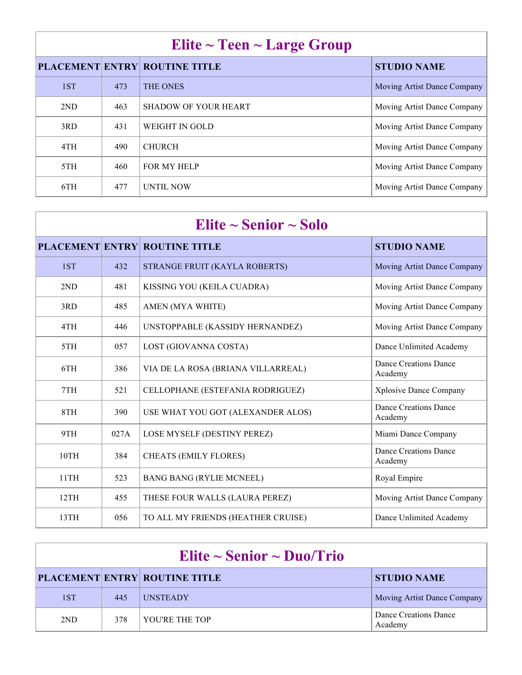### **Elite ~ Teen ~ Large Group**

|     |     | $\bullet$                            |                             |
|-----|-----|--------------------------------------|-----------------------------|
|     |     | <b>PLACEMENT ENTRY ROUTINE TITLE</b> | <b>STUDIO NAME</b>          |
| 1ST | 473 | <b>THE ONES</b>                      | Moving Artist Dance Company |
| 2ND | 463 | <b>SHADOW OF YOUR HEART</b>          | Moving Artist Dance Company |
| 3RD | 431 | WEIGHT IN GOLD                       | Moving Artist Dance Company |
| 4TH | 490 | <b>CHURCH</b>                        | Moving Artist Dance Company |
| 5TH | 460 | <b>FOR MY HELP</b>                   | Moving Artist Dance Company |
| 6TH | 477 | <b>UNTIL NOW</b>                     | Moving Artist Dance Company |

| Elite $\sim$ Senior $\sim$ Solo |      |                                      |                                         |
|---------------------------------|------|--------------------------------------|-----------------------------------------|
|                                 |      | <b>PLACEMENT ENTRY ROUTINE TITLE</b> | <b>STUDIO NAME</b>                      |
| 1ST                             | 432  | STRANGE FRUIT (KAYLA ROBERTS)        | Moving Artist Dance Company             |
| 2ND                             | 481  | KISSING YOU (KEILA CUADRA)           | Moving Artist Dance Company             |
| 3RD                             | 485  | AMEN (MYA WHITE)                     | Moving Artist Dance Company             |
| 4TH                             | 446  | UNSTOPPABLE (KASSIDY HERNANDEZ)      | Moving Artist Dance Company             |
| 5TH                             | 057  | LOST (GIOVANNA COSTA)                | Dance Unlimited Academy                 |
| 6TH                             | 386  | VIA DE LA ROSA (BRIANA VILLARREAL)   | Dance Creations Dance<br>Academy        |
| 7TH                             | 521  | CELLOPHANE (ESTEFANIA RODRIGUEZ)     | Xplosive Dance Company                  |
| 8TH                             | 390  | USE WHAT YOU GOT (ALEXANDER ALOS)    | <b>Dance Creations Dance</b><br>Academy |
| 9TH                             | 027A | LOSE MYSELF (DESTINY PEREZ)          | Miami Dance Company                     |
| 10TH                            | 384  | <b>CHEATS (EMILY FLORES)</b>         | Dance Creations Dance<br>Academy        |
| 11TH                            | 523  | <b>BANG BANG (RYLIE MCNEEL)</b>      | Royal Empire                            |
| 12TH                            | 455  | THESE FOUR WALLS (LAURA PEREZ)       | Moving Artist Dance Company             |
| 13TH                            | 056  | TO ALL MY FRIENDS (HEATHER CRUISE)   | Dance Unlimited Academy                 |

| Elite $\sim$ Senior $\sim$ Duo/Trio |     |                                      |                                  |  |
|-------------------------------------|-----|--------------------------------------|----------------------------------|--|
|                                     |     | <b>PLACEMENT ENTRY ROUTINE TITLE</b> | <b>STUDIO NAME</b>               |  |
| 1ST                                 | 445 | <b>UNSTEADY</b>                      | Moving Artist Dance Company      |  |
| 2ND                                 | 378 | YOU'RE THE TOP                       | Dance Creations Dance<br>Academy |  |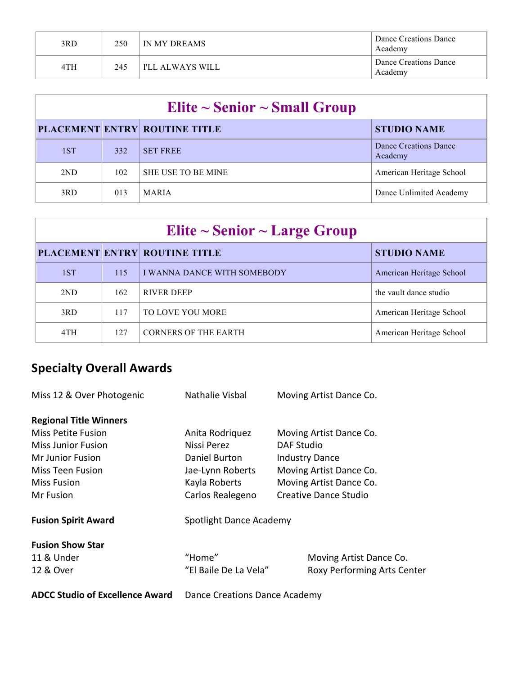| 3RD | 250 | IN MY DREAMS       | Dance Creations Dance<br>Academy |
|-----|-----|--------------------|----------------------------------|
| 4TH | 245 | ' I'LL ALWAYS WILL | Dance Creations Dance<br>Academy |

| Elite $\sim$ Senior $\sim$ Small Group |     |                                      |                                  |  |
|----------------------------------------|-----|--------------------------------------|----------------------------------|--|
|                                        |     | <b>PLACEMENT ENTRY ROUTINE TITLE</b> | <b>STUDIO NAME</b>               |  |
| 1ST                                    | 332 | <b>SET FREE</b>                      | Dance Creations Dance<br>Academy |  |
| 2ND                                    | 102 | <b>SHE USE TO BE MINE</b>            | American Heritage School         |  |
| 3RD                                    | 013 | <b>MARIA</b>                         | Dance Unlimited Academy          |  |

| Elite $\sim$ Senior $\sim$ Large Group |     |                                      |                          |  |  |
|----------------------------------------|-----|--------------------------------------|--------------------------|--|--|
|                                        |     | <b>PLACEMENT ENTRY ROUTINE TITLE</b> | <b>STUDIO NAME</b>       |  |  |
| 1ST                                    | 115 | I WANNA DANCE WITH SOMEBODY          | American Heritage School |  |  |
| 2ND                                    | 162 | <b>RIVER DEEP</b>                    | the vault dance studio   |  |  |
| 3RD                                    | 117 | TO LOVE YOU MORE                     | American Heritage School |  |  |
| 4TH                                    | 127 | <b>CORNERS OF THE EARTH</b>          | American Heritage School |  |  |

# **Specialty Overall Awards**

| Miss 12 & Over Photogenic              | Nathalie Visbal                             | Moving Artist Dance Co.            |  |
|----------------------------------------|---------------------------------------------|------------------------------------|--|
| <b>Regional Title Winners</b>          |                                             |                                    |  |
| <b>Miss Petite Fusion</b>              | Anita Rodriguez                             | Moving Artist Dance Co.            |  |
| <b>Miss Junior Fusion</b>              | Nissi Perez                                 | <b>DAF Studio</b>                  |  |
| <b>Mr Junior Fusion</b>                | Daniel Burton                               | <b>Industry Dance</b>              |  |
| <b>Miss Teen Fusion</b>                | Jae-Lynn Roberts<br>Moving Artist Dance Co. |                                    |  |
| <b>Miss Fusion</b>                     | Kayla Roberts                               | Moving Artist Dance Co.            |  |
| Mr Fusion                              | Carlos Realegeno                            | Creative Dance Studio              |  |
| <b>Fusion Spirit Award</b>             | Spotlight Dance Academy                     |                                    |  |
| <b>Fusion Show Star</b>                |                                             |                                    |  |
| 11 & Under                             | "Home"                                      | Moving Artist Dance Co.            |  |
| 12 & Over                              | "El Baile De La Vela"                       | <b>Roxy Performing Arts Center</b> |  |
| <b>ADCC Studio of Excellence Award</b> | Dance Creations Dance Academy               |                                    |  |